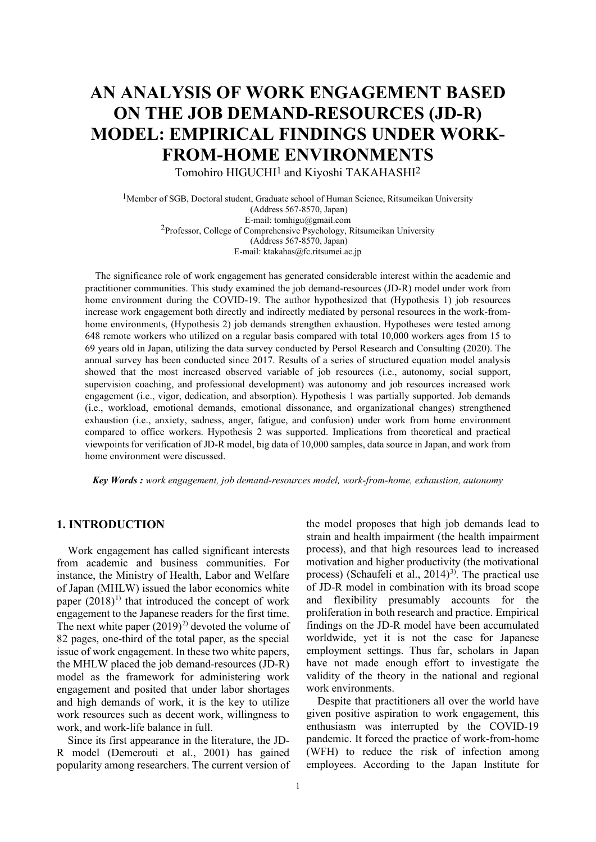# **AN ANALYSIS OF WORK ENGAGEMENT BASED ON THE JOB DEMAND-RESOURCES (JD-R) MODEL: EMPIRICAL FINDINGS UNDER WORK-FROM-HOME ENVIRONMENTS**

Tomohiro HIGUCHI<sup>1</sup> and Kiyoshi TAKAHASHI<sup>2</sup>

<sup>1</sup>Member of SGB, Doctoral student, Graduate school of Human Science, Ritsumeikan University (Address 567-8570, Japan) E-mail: tomhigu@gmail.com 2Professor, College of Comprehensive Psychology, Ritsumeikan University (Address 567-8570, Japan) E-mail: ktakahas@fc.ritsumei.ac.jp

The significance role of work engagement has generated considerable interest within the academic and practitioner communities. This study examined the job demand-resources (JD-R) model under work from home environment during the COVID-19. The author hypothesized that (Hypothesis 1) job resources increase work engagement both directly and indirectly mediated by personal resources in the work-fromhome environments, (Hypothesis 2) job demands strengthen exhaustion. Hypotheses were tested among 648 remote workers who utilized on a regular basis compared with total 10,000 workers ages from 15 to 69 years old in Japan, utilizing the data survey conducted by Persol Research and Consulting (2020). The annual survey has been conducted since 2017. Results of a series of structured equation model analysis showed that the most increased observed variable of job resources (i.e., autonomy, social support, supervision coaching, and professional development) was autonomy and job resources increased work engagement (i.e., vigor, dedication, and absorption). Hypothesis 1 was partially supported. Job demands (i.e., workload, emotional demands, emotional dissonance, and organizational changes) strengthened exhaustion (i.e., anxiety, sadness, anger, fatigue, and confusion) under work from home environment compared to office workers. Hypothesis 2 was supported. Implications from theoretical and practical viewpoints for verification of JD-R model, big data of 10,000 samples, data source in Japan, and work from home environment were discussed.

 *Key Words : work engagement, job demand-resources model, work-from-home, exhaustion, autonomy*

# **1. INTRODUCTION**

Work engagement has called significant interests from academic and business communities. For instance, the Ministry of Health, Labor and Welfare of Japan (MHLW) issued the labor economics white paper  $(2018)^{1}$  that introduced the concept of work engagement to the Japanese readers for the first time. The next white paper  $(2019)^2$  devoted the volume of 82 pages, one-third of the total paper, as the special issue of work engagement. In these two white papers, the MHLW placed the job demand-resources (JD-R) model as the framework for administering work engagement and posited that under labor shortages and high demands of work, it is the key to utilize work resources such as decent work, willingness to work, and work-life balance in full.

Since its first appearance in the literature, the JD-R model (Demerouti et al., 2001) has gained popularity among researchers. The current version of the model proposes that high job demands lead to strain and health impairment (the health impairment process), and that high resources lead to increased motivation and higher productivity (the motivational process) (Schaufeli et al.,  $2014$ <sup>[3](#page-7-2))</sup>. The practical use of JD-R model in combination with its broad scope and flexibility presumably accounts for the proliferation in both research and practice. Empirical findings on the JD-R model have been accumulated worldwide, yet it is not the case for Japanese employment settings. Thus far, scholars in Japan have not made enough effort to investigate the validity of the theory in the national and regional work environments.

Despite that practitioners all over the world have given positive aspiration to work engagement, this enthusiasm was interrupted by the COVID-19 pandemic. It forced the practice of work-from-home (WFH) to reduce the risk of infection among employees. According to the Japan Institute for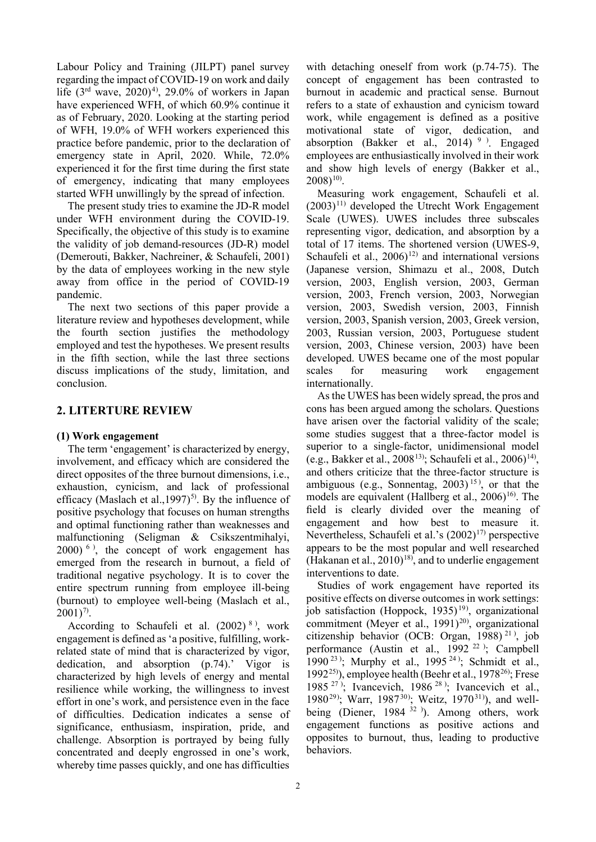Labour Policy and Training (JILPT) panel survey regarding the impact of COVID-19 on work and daily life  $(3<sup>rd</sup>$  wave,  $2020)^4$  $2020)^4$ , 29.0% of workers in Japan have experienced WFH, of which 60.9% continue it as of February, 2020. Looking at the starting period of WFH, 19.0% of WFH workers experienced this practice before pandemic, prior to the declaration of emergency state in April, 2020. While, 72.0% experienced it for the first time during the first state of emergency, indicating that many employees started WFH unwillingly by the spread of infection.

The present study tries to examine the JD-R model under WFH environment during the COVID-19. Specifically, the objective of this study is to examine the validity of job demand-resources (JD-R) model (Demerouti, Bakker, Nachreiner, & Schaufeli, 2001) by the data of employees working in the new style away from office in the period of COVID-19 pandemic.

The next two sections of this paper provide a literature review and hypotheses development, while the fourth section justifies the methodology employed and test the hypotheses. We present results in the fifth section, while the last three sections discuss implications of the study, limitation, and conclusion.

# **2. LITERTURE REVIEW**

# **(1) Work engagement**

The term 'engagement' is characterized by energy, involvement, and efficacy which are considered the direct opposites of the three burnout dimensions, i.e., exhaustion, cynicism, and lack of professional efficacy (Maslach et al., 1997)<sup>[5](#page-7-4))</sup>. By the influence of positive psychology that focuses on human strengths and optimal functioning rather than weaknesses and malfunctioning (Seligman & Csikszentmihalyi,  $2000$ <sup>[6](#page-7-5)</sup>), the concept of work engagement has emerged from the research in burnout, a field of traditional negative psychology. It is to cover the entire spectrum running from employee ill-being (burnout) to employee well-being (Maslach et al.,  $2001)^{7}$  $2001)^{7}$  $2001)^{7}$ .

According to Schaufeli et al.  $(2002)^{8}$  $(2002)^{8}$  $(2002)^{8}$ , work engagement is defined as 'a positive, fulfilling, workrelated state of mind that is characterized by vigor, dedication, and absorption (p.74).' Vigor is characterized by high levels of energy and mental resilience while working, the willingness to invest effort in one's work, and persistence even in the face of difficulties. Dedication indicates a sense of significance, enthusiasm, inspiration, pride, and challenge. Absorption is portrayed by being fully concentrated and deeply engrossed in one's work, whereby time passes quickly, and one has difficulties

with detaching oneself from work (p.74-75). The concept of engagement has been contrasted to burnout in academic and practical sense. Burnout refers to a state of exhaustion and cynicism toward work, while engagement is defined as a positive motivational state of vigor, dedication, and absorption (Bakker et al., 2014)  $9$ ). Engaged employees are enthusiastically involved in their work and show high levels of energy (Bakker et al.,  $(2008)^{10}$  $(2008)^{10}$  $(2008)^{10}$ .

Measuring work engagement, Schaufeli et al.  $(2003)^{11}$  $(2003)^{11}$  $(2003)^{11}$  developed the Utrecht Work Engagement Scale (UWES). UWES includes three subscales representing vigor, dedication, and absorption by a total of 17 items. The shortened version (UWES-9, Schaufeli et al.,  $2006$ <sup>[12](#page-7-11))</sup> and international versions (Japanese version, Shimazu et al., 2008, Dutch version, 2003, English version, 2003, German version, 2003, French version, 2003, Norwegian version, 2003, Swedish version, 2003, Finnish version, 2003, Spanish version, 2003, Greek version, 2003, Russian version, 2003, Portuguese student version, 2003, Chinese version, 2003) have been developed. UWES became one of the most popular scales for measuring work engagement internationally.

As the UWES has been widely spread, the pros and cons has been argued among the scholars. Questions have arisen over the factorial validity of the scale; some studies suggest that a three-factor model is superior to a single-factor, unidimensional model (e.g., Bakker et al., 2008<sup>[13\)](#page-7-12)</sup>; Schaufeli et al., 2006)<sup>14</sup>), and others criticize that the three-factor structure is ambiguous (e.g., Sonnentag,  $2003$ )<sup>[15](#page-7-13)</sup>), or that the models are equivalent (Hallberg et al.,  $2006$ )<sup>[16](#page-7-14)</sup>. The field is clearly divided over the meaning of engagement and how best to measure it. Nevertheless, Schaufeli et al.'s  $(2002)^{17}$  $(2002)^{17}$  $(2002)^{17}$  perspective appears to be the most popular and well researched (Hakanan et al.,  $2010$ <sup>18</sup>), and to underlie engagement interventions to date.

Studies of work engagement have reported its positive effects on diverse outcomes in work settings: job satisfaction (Hoppock, [19](#page-7-17)35)<sup>19)</sup>, organizational commitment (Meyer et al.,  $1991)^{20}$  $1991)^{20}$  $1991)^{20}$ ), organizational citizenship behavior (OCB: Organ, 1988)<sup>[21](#page-7-19)</sup><sup>)</sup>, job performance (Austin et al., 1992<sup>[22](#page-7-20)</sup>); Campbell 1990<sup>[23](#page-7-21)</sup>); Murphy et al., 1995<sup>[24](#page-7-22)</sup>); Schmidt et al., 1992<sup>25</sup>), employee health (Beehr et al., 1978<sup>[26](#page-7-0))</sup>; Frese 1985<sup>[27](#page-7-24)</sup>); Ivancevich, 1986<sup>[28](#page-7-2)</sup>); Ivancevich et al., 1980<sup>[29](#page-7-25))</sup>; Warr, 1987<sup>[30](#page-7-11))</sup>; Weitz, 1970<sup>[31](#page-7-26)</sup>), and well-being (Diener, 1984<sup>[32](#page-7-27))</sup>). Among others, work engagement functions as positive actions and opposites to burnout, thus, leading to productive behaviors.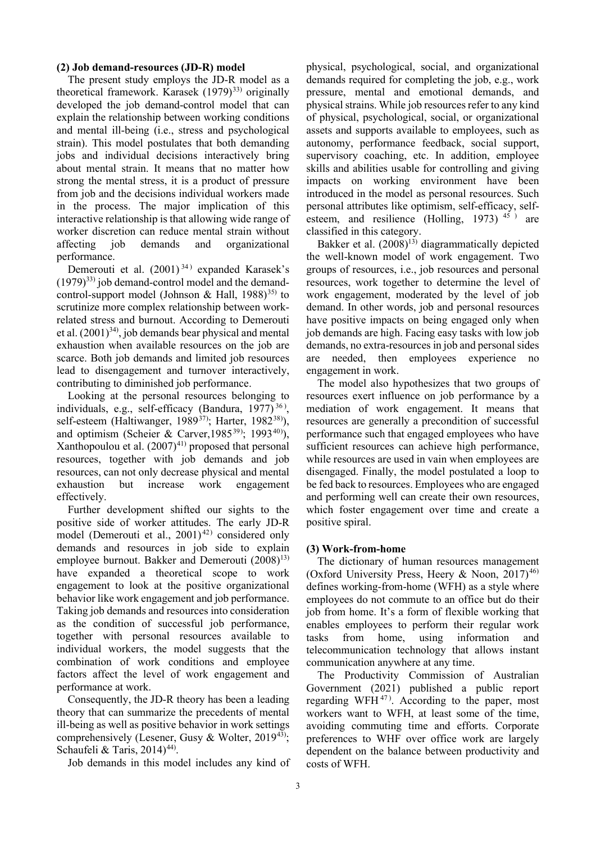#### **(2) Job demand-resources (JD-R) model**

The present study employs the JD-R model as a theoretical framework. Karasek  $(1979)^{33}$  originally developed the job demand-control model that can explain the relationship between working conditions and mental ill-being (i.e., stress and psychological strain). This model postulates that both demanding jobs and individual decisions interactively bring about mental strain. It means that no matter how strong the mental stress, it is a product of pressure from job and the decisions individual workers made in the process. The major implication of this interactive relationship is that allowing wide range of worker discretion can reduce mental strain without affecting job demands and organizational performance.

Demerouti et al.  $(2001)^{34}$  $(2001)^{34}$  $(2001)^{34}$  expanded Karasek's  $(1979)^{33}$  job demand-control model and the demandcontrol-support model (Johnson & Hall,  $1988$ )<sup>[35](#page-7-30))</sup> to scrutinize more complex relationship between workrelated stress and burnout. According to Demerouti et al.  $(2001)^{34}$ , job demands bear physical and mental exhaustion when available resources on the job are scarce. Both job demands and limited job resources lead to disengagement and turnover interactively, contributing to diminished job performance.

Looking at the personal resources belonging to individuals, e.g., self-efficacy (Bandura,  $1977$ )<sup>[36](#page-7-31)</sup>), self-esteem (Haltiwanger, 1989<sup>[37\)](#page-7-32)</sup>; Harter, 1982<sup>[38](#page-7-33)</sup>), and optimism (Scheier & Carver, 1985<sup>[39](#page-7-34))</sup>; 1993<sup>[40](#page-7-35)</sup>), Xanthopoulou et al.  $(2007)^{41}$  proposed that personal resources, together with job demands and job resources, can not only decrease physical and mental exhaustion but increase work engagement effectively.

Further development shifted our sights to the positive side of worker attitudes. The early JD-R model (Demerouti et al.,  $2001)^{42}$  $2001)^{42}$  $2001)^{42}$ ) considered only demands and resources in job side to explain employee burnout. Bakker and Demerouti  $(2008)^{13}$ have expanded a theoretical scope to work engagement to look at the positive organizational behavior like work engagement and job performance. Taking job demands and resources into consideration as the condition of successful job performance, together with personal resources available to individual workers, the model suggests that the combination of work conditions and employee factors affect the level of work engagement and performance at work.

Consequently, the JD-R theory has been a leading theory that can summarize the precedents of mental ill-being as well as positive behavior in work settings comprehensively (Lesener, Gusy & Wolter, 2019<sup>[43\)](#page-7-38)</sup>; Schaufeli & Taris,  $2014)^{44}$ .

Job demands in this model includes any kind of

physical, psychological, social, and organizational demands required for completing the job, e.g., work pressure, mental and emotional demands, and physical strains. While job resources refer to any kind of physical, psychological, social, or organizational assets and supports available to employees, such as autonomy, performance feedback, social support, supervisory coaching, etc. In addition, employee skills and abilities usable for controlling and giving impacts on working environment have been introduced in the model as personal resources. Such personal attributes like optimism, self-efficacy, selfesteem, and resilience (Holling, 1973)  $45$ ) are classified in this category.

Bakker et al.  $(2008)^{13}$  diagrammatically depicted the well-known model of work engagement. Two groups of resources, i.e., job resources and personal resources, work together to determine the level of work engagement, moderated by the level of job demand. In other words, job and personal resources have positive impacts on being engaged only when job demands are high. Facing easy tasks with low job demands, no extra-resources in job and personal sides are needed, then employees experience engagement in work.

The model also hypothesizes that two groups of resources exert influence on job performance by a mediation of work engagement. It means that resources are generally a precondition of successful performance such that engaged employees who have sufficient resources can achieve high performance, while resources are used in vain when employees are disengaged. Finally, the model postulated a loop to be fed back to resources. Employees who are engaged and performing well can create their own resources, which foster engagement over time and create a positive spiral.

#### **(3) Work-from-home**

The dictionary of human resources management (Oxford University Press, Heery & Noon,  $2017$ <sup>[46](#page-7-41))</sup> defines working-from-home (WFH) as a style where employees do not commute to an office but do their job from home. It's a form of flexible working that enables employees to perform their regular work tasks from home, using information and telecommunication technology that allows instant communication anywhere at any time.

The Productivity Commission of Australian Government (2021) published a public report regarding WFH $47$ ). According to the paper, most workers want to WFH, at least some of the time, avoiding commuting time and efforts. Corporate preferences to WHF over office work are largely dependent on the balance between productivity and costs of WFH.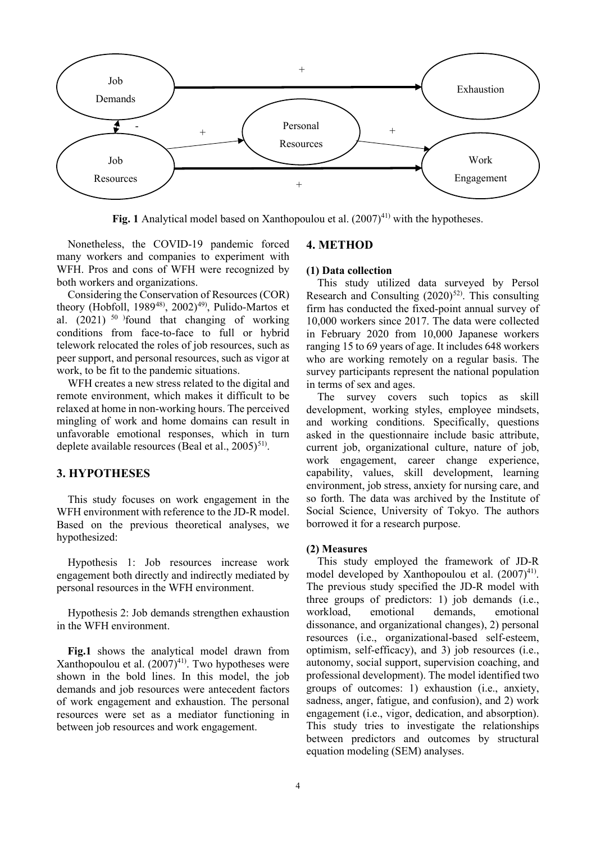

**Fig.** 1 Analytical model based on Xanthopoulou et al.  $(2007)^{41}$  with the hypotheses.

Nonetheless, the COVID-19 pandemic forced many workers and companies to experiment with WFH. Pros and cons of WFH were recognized by both workers and organizations.

Considering the Conservation of Resources (COR) theory (Hobfoll, 1989<sup>[48\)](#page-7-43)</sup>, 2002)<sup>[49\)](#page-7-44)</sup>, Pulido-Martos et al.  $(2021)$ <sup>[50](#page-7-45)</sup> found that changing of working conditions from face-to-face to full or hybrid telework relocated the roles of job resources, such as peer support, and personal resources, such as vigor at work, to be fit to the pandemic situations.

WFH creates a new stress related to the digital and remote environment, which makes it difficult to be relaxed at home in non-working hours. The perceived mingling of work and home domains can result in unfavorable emotional responses, which in turn deplete available resources (Beal et al.,  $2005)^{51}$  $2005)^{51}$  $2005)^{51}$ .

#### **3. HYPOTHESES**

This study focuses on work engagement in the WFH environment with reference to the JD-R model. Based on the previous theoretical analyses, we hypothesized:

Hypothesis 1: Job resources increase work engagement both directly and indirectly mediated by personal resources in the WFH environment.

Hypothesis 2: Job demands strengthen exhaustion in the WFH environment.

**Fig.1** shows the analytical model drawn from Xanthopoulou et al.  $(2007)^{41}$ . Two hypotheses were shown in the bold lines. In this model, the job demands and job resources were antecedent factors of work engagement and exhaustion. The personal resources were set as a mediator functioning in between job resources and work engagement.

## **4. METHOD**

#### **(1) Data collection**

This study utilized data surveyed by Persol Research and Consulting  $(2020)^{52}$ . This consulting firm has conducted the fixed-point annual survey of 10,000 workers since 2017. The data were collected in February 2020 from 10,000 Japanese workers ranging 15 to 69 years of age. It includes 648 workers who are working remotely on a regular basis. The survey participants represent the national population in terms of sex and ages.

The survey covers such topics as skill development, working styles, employee mindsets, and working conditions. Specifically, questions asked in the questionnaire include basic attribute, current job, organizational culture, nature of job, work engagement, career change experience, capability, values, skill development, learning environment, job stress, anxiety for nursing care, and so forth. The data was archived by the Institute of Social Science, University of Tokyo. The authors borrowed it for a research purpose.

#### **(2) Measures**

This study employed the framework of JD-R model developed by Xanthopoulou et al.  $(2007)^{41}$ . The previous study specified the JD-R model with three groups of predictors: 1) job demands (i.e., workload, emotional demands, emotional dissonance, and organizational changes), 2) personal resources (i.e., organizational-based self-esteem, optimism, self-efficacy), and 3) job resources (i.e., autonomy, social support, supervision coaching, and professional development). The model identified two groups of outcomes: 1) exhaustion (i.e., anxiety, sadness, anger, fatigue, and confusion), and 2) work engagement (i.e., vigor, dedication, and absorption). This study tries to investigate the relationships between predictors and outcomes by structural equation modeling (SEM) analyses.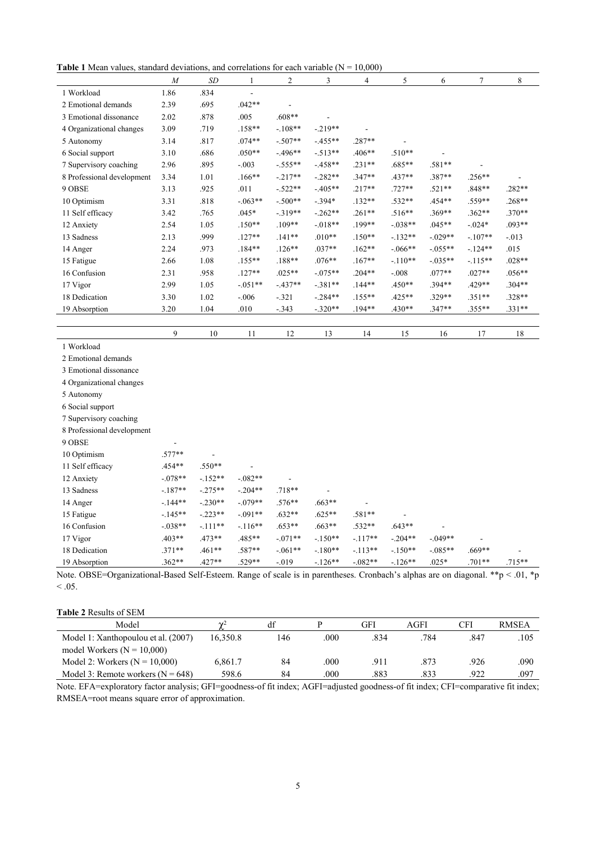**Table 1** Mean values, standard deviations, and correlations for each variable  $(N = 10,000)$ 

|                            | $\overline{M}$ | SD   |           | 2         | 3         | 4         | 5         | 6         | $\tau$   | 8        |
|----------------------------|----------------|------|-----------|-----------|-----------|-----------|-----------|-----------|----------|----------|
| 1 Workload                 | 1.86           | .834 |           |           |           |           |           |           |          |          |
| 2 Emotional demands        | 2.39           | .695 | $.042**$  |           |           |           |           |           |          |          |
| 3 Emotional dissonance     | 2.02           | .878 | .005      | $.608**$  |           |           |           |           |          |          |
| 4 Organizational changes   | 3.09           | .719 | $.158**$  | $-.108**$ | $-.219**$ |           |           |           |          |          |
| 5 Autonomy                 | 3.14           | .817 | $.074**$  | $-.507**$ | $-.455**$ | $.287**$  |           |           |          |          |
| 6 Social support           | 3.10           | .686 | $.050**$  | $-.496**$ | $-.513**$ | $.406**$  | $.510**$  |           |          |          |
| 7 Supervisory coaching     | 2.96           | .895 | $-.003$   | $-.555**$ | $-.458**$ | $.231**$  | $.685**$  | $.581**$  |          |          |
| 8 Professional development | 3.34           | 1.01 | $.166**$  | $-.217**$ | $-.282**$ | $.347**$  | $.437**$  | $.387**$  | $.256**$ |          |
| 9 OBSE                     | 3.13           | .925 | .011      | $-.522**$ | $-.405**$ | $.217**$  | $.727**$  | $.521**$  | $.848**$ | $.282**$ |
| 10 Optimism                | 3.31           | .818 | $-.063**$ | $-.500**$ | $-.394*$  | $.132**$  | $.532**$  | $.454**$  | $.559**$ | $.268**$ |
| 11 Self efficacy           | 3.42           | .765 | $.045*$   | $-.319**$ | $-.262**$ | $.261**$  | $.516**$  | $.369**$  | $.362**$ | $.370**$ |
| 12 Anxiety                 | 2.54           | 1.05 | $.150**$  | $.109**$  | $-.018**$ | $.199**$  | $-.038**$ | $.045**$  | $-.024*$ | $.093**$ |
| 13 Sadness                 | 2.13           | .999 | $.127**$  | $.141**$  | $.010**$  | $.150**$  | $-132**$  | $-.029**$ | $-107**$ | $-0.013$ |
| 14 Anger                   | 2.24           | .973 | $.184**$  | $.126**$  | $.037**$  | $.162**$  | $-.066**$ | $-.055**$ | $-124**$ | .015     |
| 15 Fatigue                 | 2.66           | 1.08 | $.155***$ | $.188**$  | $.076**$  | $.167**$  | $-.110**$ | $-.035**$ | $-115**$ | $.028**$ |
| 16 Confusion               | 2.31           | .958 | $.127**$  | $.025**$  | $-.075**$ | $.204**$  | $-.008$   | $.077**$  | $.027**$ | $.056**$ |
| 17 Vigor                   | 2.99           | 1.05 | $-.051**$ | $-.437**$ | $-.381**$ | $.144**$  | $.450**$  | $.394**$  | .429**   | $.304**$ |
| 18 Dedication              | 3.30           | 1.02 | $-.006$   | $-.321$   | $-.284**$ | $.155***$ | $.425**$  | $.329**$  | $.351**$ | $.328**$ |
| 19 Absorption              | 3.20           | 1.04 | .010      | $-.343$   | $-.320**$ | $.194**$  | $.430**$  | $.347**$  | $.355**$ | $.331**$ |
|                            |                |      |           |           |           |           |           |           |          |          |

9 10 11 12 13 14 15 16 17 18

1 Workload

2 Emotional demands

3 Emotional dissonance

4 Organizational changes

5 Autonomy

6 Social support

7 Supervisory coaching

| 8 Professional development |           |                |           |           |           |           |           |           |                          |          |
|----------------------------|-----------|----------------|-----------|-----------|-----------|-----------|-----------|-----------|--------------------------|----------|
| 9 OBSE                     | ۰         |                |           |           |           |           |           |           |                          |          |
| 10 Optimism                | $.577**$  | $\blacksquare$ |           |           |           |           |           |           |                          |          |
| 11 Self efficacy           | $.454**$  | $.550**$       | ۰         |           |           |           |           |           |                          |          |
| 12 Anxiety                 | $-.078**$ | $-.152**$      | $-.082**$ | ٠         |           |           |           |           |                          |          |
| 13 Sadness                 | $-.187**$ | $-.275**$      | $-.204**$ | $.718**$  | ۰         |           |           |           |                          |          |
| 14 Anger                   | $-.144**$ | $-.230**$      | $-.079**$ | $.576**$  | $.663**$  | ۰         |           |           |                          |          |
| 15 Fatigue                 | $-.145**$ | $-.223**$      | $-.091**$ | $.632**$  | $.625**$  | $.581**$  |           |           |                          |          |
| 16 Confusion               | $-.038**$ | $-.111**$      | $-.116**$ | $.653**$  | $.663**$  | $.532**$  | $.643**$  | ٠         |                          |          |
| 17 Vigor                   | $.403**$  | $.473**$       | $.485**$  | $-.071**$ | $-.150**$ | $-.117**$ | $-.204**$ | $-.049**$ | $\overline{\phantom{a}}$ |          |
| 18 Dedication              | $.371**$  | $.461**$       | $.587**$  | $-.061**$ | $-.180**$ | $-.113**$ | $-.150**$ | $-.085**$ | $.669**$                 | ٠        |
| 19 Absorption              | $.362**$  | $.427**$       | $.529**$  | $-.019$   | $-.126**$ | $-.082**$ | $-.126**$ | $.025*$   | $.701**$                 | $.715**$ |

Note. OBSE=Organizational-Based Self-Esteem. Range of scale is in parentheses. Cronbach's alphas are on diagonal. \*\*p < .01, \*p  $\leq .05$ .

#### **Table 2** Results of SEM

| Model                               | $\overline{M}$ | df  |      | GFI  | AGFI | CFI  | <b>RMSEA</b> |
|-------------------------------------|----------------|-----|------|------|------|------|--------------|
| Model 1: Xanthopoulou et al. (2007) | 16,350.8       | !46 | .000 | .834 | .784 | .847 | .105         |
| model Workers $(N = 10,000)$        |                |     |      |      |      |      |              |
| Model 2: Workers $(N = 10,000)$     | 6,861.7        | 84  | .000 | .911 | .873 | .926 | .090         |
| Model 3: Remote workers $(N = 648)$ | 598.6          | 84  | .000 | .883 | .833 | .922 | .097         |

Note. EFA=exploratory factor analysis; GFI=goodness-of fit index; AGFI=adjusted goodness-of fit index; CFI=comparative fit index; RMSEA=root means square error of approximation.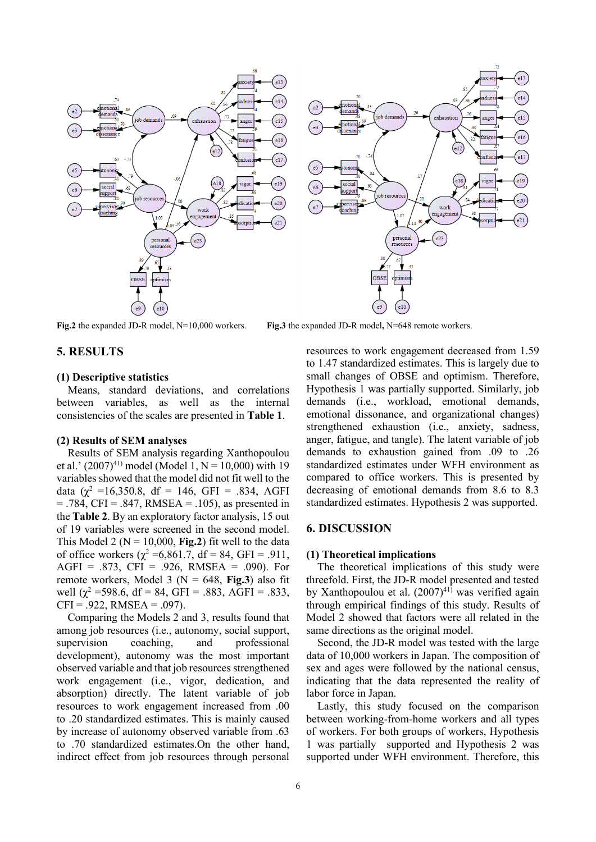

#### **5. RESULTS**

#### **(1) Descriptive statistics**

Means, standard deviations, and correlations between variables, as well as the internal consistencies of the scales are presented in **Table 1**.

## **(2) Results of SEM analyses**

Results of SEM analysis regarding Xanthopoulou et al.'  $(2007)^{41}$  model (Model 1, N = 10,000) with 19 variables showed that the model did not fit well to the data ( $\chi^2$  =16,350.8, df = 146, GFI = .834, AGFI  $= .784$ , CFI = .847, RMSEA = .105), as presented in the **Table 2**. By an exploratory factor analysis, 15 out of 19 variables were screened in the second model. This Model 2 ( $N = 10,000$ , **Fig.2**) fit well to the data of office workers ( $\chi^2$  =6,861.7, df = 84, GFI = .911, AGFI = .873, CFI = .926, RMSEA = .090). For remote workers, Model 3 ( $N = 648$ , **Fig.3**) also fit well ( $\chi^2$  =598.6, df = 84, GFI = .883, AGFI = .833,  $CFI = .922$ , RMSEA =  $.097$ ).

Comparing the Models 2 and 3, results found that among job resources (i.e., autonomy, social support, supervision coaching, and professional development), autonomy was the most important observed variable and that job resources strengthened work engagement (i.e., vigor, dedication, and absorption) directly. The latent variable of job resources to work engagement increased from .00 to .20 standardized estimates. This is mainly caused by increase of autonomy observed variable from .63 to .70 standardized estimates.On the other hand, indirect effect from job resources through personal

**Fig.2** the expanded JD-R model, N=10,000 workers. **Fig.3** the expanded JD-R model**,** N=648 remote workers.

resources to work engagement decreased from 1.59 to 1.47 standardized estimates. This is largely due to small changes of OBSE and optimism. Therefore, Hypothesis 1 was partially supported. Similarly, job demands (i.e., workload, emotional demands, emotional dissonance, and organizational changes) strengthened exhaustion (i.e., anxiety, sadness, anger, fatigue, and tangle). The latent variable of job demands to exhaustion gained from .09 to .26 standardized estimates under WFH environment as compared to office workers. This is presented by decreasing of emotional demands from 8.6 to 8.3 standardized estimates. Hypothesis 2 was supported.

## **6. DISCUSSION**

#### **(1) Theoretical implications**

The theoretical implications of this study were threefold. First, the JD-R model presented and tested by Xanthopoulou et al.  $(2007)^{41}$  was verified again through empirical findings of this study. Results of Model 2 showed that factors were all related in the same directions as the original model.

Second, the JD-R model was tested with the large data of 10,000 workers in Japan. The composition of sex and ages were followed by the national census, indicating that the data represented the reality of labor force in Japan.

Lastly, this study focused on the comparison between working-from-home workers and all types of workers. For both groups of workers, Hypothesis 1 was partially supported and Hypothesis 2 was supported under WFH environment. Therefore, this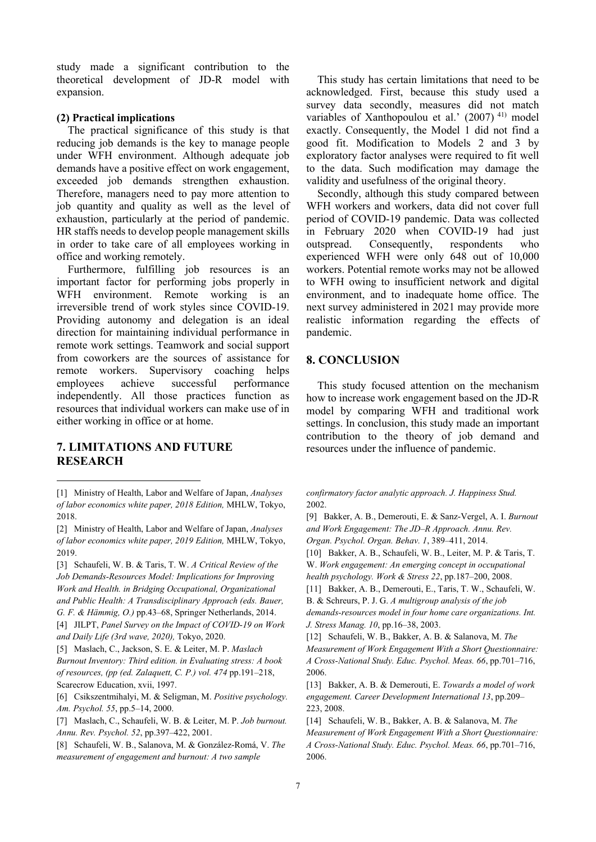study made a significant contribution to the theoretical development of JD-R model with expansion.

#### **(2) Practical implications**

The practical significance of this study is that reducing job demands is the key to manage people under WFH environment. Although adequate job demands have a positive effect on work engagement, exceeded job demands strengthen exhaustion. Therefore, managers need to pay more attention to job quantity and quality as well as the level of exhaustion, particularly at the period of pandemic. HR staffs needs to develop people management skills in order to take care of all employees working in office and working remotely.

Furthermore, fulfilling job resources is an important factor for performing jobs properly in WFH environment. Remote working is an irreversible trend of work styles since COVID-19. Providing autonomy and delegation is an ideal direction for maintaining individual performance in remote work settings. Teamwork and social support from coworkers are the sources of assistance for remote workers. Supervisory coaching helps employees achieve successful performance independently. All those practices function as resources that individual workers can make use of in either working in office or at home.

# **7. LIMITATIONS AND FUTURE RESEARCH**

[2] Ministry of Health, Labor and Welfare of Japan, *Analyses of labor economics white paper, 2019 Edition,* MHLW, Tokyo, 2019.

[3] Schaufeli, W. B. & Taris, T. W. *A Critical Review of the Job Demands-Resources Model: Implications for Improving Work and Health. in Bridging Occupational, Organizational and Public Health: A Transdisciplinary Approach (eds. Bauer,* 

*G. F. & Hämmig, O.)* pp.43–68, Springer Netherlands, 2014. [4] JILPT, *Panel Survey on the Impact of COVID-19 on Work and Daily Life (3rd wave, 2020),* Tokyo, 2020.

[5] Maslach, C., Jackson, S. E. & Leiter, M. P. *Maslach Burnout Inventory: Third edition. in Evaluating stress: A book of resources, (pp (ed. Zalaquett, C. P.) vol. 474* pp.191–218, Scarecrow Education, xvii, 1997.

[6] Csikszentmihalyi, M. & Seligman, M. *Positive psychology. Am. Psychol. 55*, pp.5–14, 2000.

[7] Maslach, C., Schaufeli, W. B. & Leiter, M. P. *Job burnout. Annu. Rev. Psychol. 52*, pp.397–422, 2001.

[8] Schaufeli, W. B., Salanova, M. & González-Romá, V. *The measurement of engagement and burnout: A two sample* 

This study has certain limitations that need to be acknowledged. First, because this study used a survey data secondly, measures did not match variables of Xanthopoulou et al.'  $(2007)^{41}$  model exactly. Consequently, the Model 1 did not find a good fit. Modification to Models 2 and 3 by exploratory factor analyses were required to fit well to the data. Such modification may damage the validity and usefulness of the original theory.

Secondly, although this study compared between WFH workers and workers, data did not cover full period of COVID-19 pandemic. Data was collected in February 2020 when COVID-19 had just outspread. Consequently, respondents who experienced WFH were only 648 out of 10,000 workers. Potential remote works may not be allowed to WFH owing to insufficient network and digital environment, and to inadequate home office. The next survey administered in 2021 may provide more realistic information regarding the effects of pandemic.

# **8. CONCLUSION**

This study focused attention on the mechanism how to increase work engagement based on the JD-R model by comparing WFH and traditional work settings. In conclusion, this study made an important contribution to the theory of job demand and resources under the influence of pandemic.

*confirmatory factor analytic approach. J. Happiness Stud.* 2002.

[9] Bakker, A. B., Demerouti, E. & Sanz-Vergel, A. I. *Burnout and Work Engagement: The JD–R Approach. Annu. Rev. Organ. Psychol. Organ. Behav. 1*, 389–411, 2014.

[10] Bakker, A. B., Schaufeli, W. B., Leiter, M. P. & Taris, T. W. *Work engagement: An emerging concept in occupational* 

*health psychology. Work & Stress 22*, pp.187–200, 2008. [11] Bakker, A. B., Demerouti, E., Taris, T. W., Schaufeli, W.

B. & Schreurs, P. J. G. *A multigroup analysis of the job* 

*demands-resources model in four home care organizations. Int. J. Stress Manag. 10*, pp.16–38, 2003.

[12] Schaufeli, W. B., Bakker, A. B. & Salanova, M. *The Measurement of Work Engagement With a Short Questionnaire: A Cross-National Study. Educ. Psychol. Meas. 66*, pp.701–716, 2006.

[13] Bakker, A. B. & Demerouti, E. *Towards a model of work engagement. Career Development International 13*, pp.209– 223, 2008.

[14] Schaufeli, W. B., Bakker, A. B. & Salanova, M. *The Measurement of Work Engagement With a Short Questionnaire: A Cross-National Study. Educ. Psychol. Meas. 66*, pp.701–716, 2006.

<sup>[1]</sup> Ministry of Health, Labor and Welfare of Japan, *Analyses of labor economics white paper, 2018 Edition,* MHLW, Tokyo, 2018.